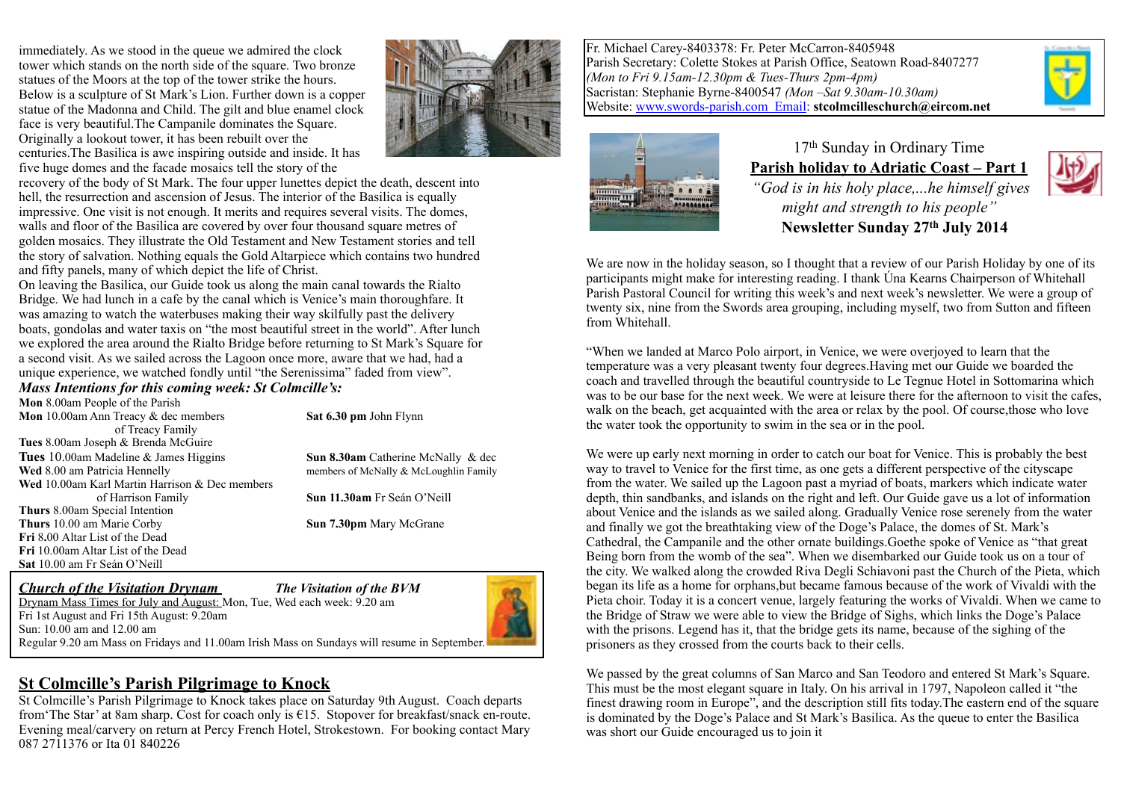immediately. As we stood in the queue we admired the clock tower which stands on the north side of the square. Two bronze statues of the Moors at the top of the tower strike the hours. Below is a sculpture of St Mark's Lion. Further down is a copper statue of the Madonna and Child. The gilt and blue enamel clock face is very beautiful. The Campanile dominates the Square. Originally a lookout tower, it has been rebuilt over the centuries.The Basilica is awe inspiring outside and inside. It has five huge domes and the facade mosaics tell the story of the

recovery of the body of St Mark. The four upper lunettes depict the death, descent into hell, the resurrection and ascension of Jesus. The interior of the Basilica is equally impressive. One visit is not enough. It merits and requires several visits. The domes, walls and floor of the Basilica are covered by over four thousand square metres of golden mosaics. They illustrate the Old Testament and New Testament stories and tell the story of salvation. Nothing equals the Gold Altarpiece which contains two hundred and fifty panels, many of which depict the life of Christ.

On leaving the Basilica, our Guide took us along the main canal towards the Rialto Bridge. We had lunch in a cafe by the canal which is Venice's main thoroughfare. It was amazing to watch the waterbuses making their way skilfully past the delivery boats, gondolas and water taxis on "the most beautiful street in the world". After lunch we explored the area around the Rialto Bridge before returning to St Mark's Square for a second visit. As we sailed across the Lagoon once more, aware that we had, had a unique experience, we watched fondly until "the Serenissima" faded from view".

#### *Mass Intentions for this coming week: St Colmcille's:*

**Mon** 8.00am People of the Parish **Mon** 10.00am Ann Treacy & dec members **Sat 6.30 pm** John Flynn of Treacy Family **Tues** 8.00am Joseph & Brenda McGuire **Tues** 10.00am Madeline & James Higgins **Sun 8.30am** Catherine McNally & dec **Wed** 8.00 am Patricia Hennelly members of McNally & McLoughlin Family **Wed** 10.00am Karl Martin Harrison & Dec members of Harrison Family **Sun 11.30am** Fr Seán O'Neill **Thurs** 8.00am Special Intention **Thurs** 10.00 am Marie Corby **Sun 7.30pm** Mary McGrane **Fri** 8**.**00 Altar List of the Dead **Fri** 10.00am Altar List of the Dead **Sat** 10.00 am Fr Seán O'Neill

#### *Church of the Visitation Drynam The Visitation of the BVM*

Fri 1st August and Fri 15th August: 9.20am





Sun: 10.00 am and 12.00 am Regular 9.20 am Mass on Fridays and 11.00am Irish Mass on Sundays will resume in September.

#### **St Colmcille's Parish Pilgrimage to Knock**

St Colmcille's Parish Pilgrimage to Knock takes place on Saturday 9th August. Coach departs from'The Star' at 8am sharp. Cost for coach only is €15. Stopover for breakfast/snack en-route. Evening meal/carvery on return at Percy French Hotel, Strokestown. For booking contact Mary 087 2711376 or Ita 01 840226

Fr. Michael Carey-8403378: Fr. Peter McCarron-8405948 Parish Secretary: Colette Stokes at Parish Office, Seatown Road-8407277 *(Mon to Fri 9.15am-12.30pm & Tues-Thurs 2pm-4pm)* Sacristan: Stephanie Byrne-8400547 *(Mon –Sat 9.30am-10.30am)* Website: [www.swords-parish.com Email:](http://www.swords-parish.com%20%20email) **stcolmcilleschurch@eircom.net**



### 17th Sunday in Ordinary Time **Parish holiday to Adriatic Coast – Part 1**   *"God is in his holy place,...he himself gives might and strength to his people"*  **Newsletter Sunday 27th July 2014**

We are now in the holiday season, so I thought that a review of our Parish Holiday by one of its participants might make for interesting reading. I thank Úna Kearns Chairperson of Whitehall Parish Pastoral Council for writing this week's and next week's newsletter. We were a group of twenty six, nine from the Swords area grouping, including myself, two from Sutton and fifteen from Whitehall.

"When we landed at Marco Polo airport, in Venice, we were overjoyed to learn that the temperature was a very pleasant twenty four degrees.Having met our Guide we boarded the coach and travelled through the beautiful countryside to Le Tegnue Hotel in Sottomarina which was to be our base for the next week. We were at leisure there for the afternoon to visit the cafes, walk on the beach, get acquainted with the area or relax by the pool. Of course, those who love the water took the opportunity to swim in the sea or in the pool.

We were up early next morning in order to catch our boat for Venice. This is probably the best way to travel to Venice for the first time, as one gets a different perspective of the cityscape from the water. We sailed up the Lagoon past a myriad of boats, markers which indicate water depth, thin sandbanks, and islands on the right and left. Our Guide gave us a lot of information about Venice and the islands as we sailed along. Gradually Venice rose serenely from the water and finally we got the breathtaking view of the Doge's Palace, the domes of St. Mark's Cathedral, the Campanile and the other ornate buildings.Goethe spoke of Venice as "that great Being born from the womb of the sea". When we disembarked our Guide took us on a tour of the city. We walked along the crowded Riva Degli Schiavoni past the Church of the Pieta, which began its life as a home for orphans,but became famous because of the work of Vivaldi with the Pieta choir. Today it is a concert venue, largely featuring the works of Vivaldi. When we came to the Bridge of Straw we were able to view the Bridge of Sighs, which links the Doge's Palace with the prisons. Legend has it, that the bridge gets its name, because of the sighing of the prisoners as they crossed from the courts back to their cells.

We passed by the great columns of San Marco and San Teodoro and entered St Mark's Square. This must be the most elegant square in Italy. On his arrival in 1797, Napoleon called it "the finest drawing room in Europe", and the description still fits today.The eastern end of the square is dominated by the Doge's Palace and St Mark's Basilica. As the queue to enter the Basilica was short our Guide encouraged us to join it